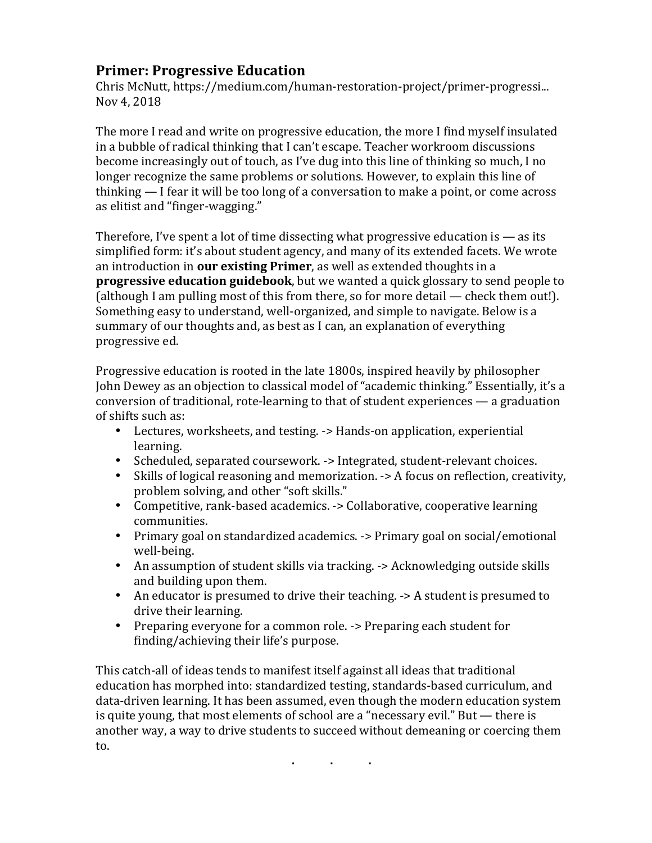### **Primer: Progressive Education**

Chris McNutt, https://medium.com/human-restoration-project/primer-progressi... Nov 4, 2018

The more I read and write on progressive education, the more I find myself insulated in a bubble of radical thinking that I can't escape. Teacher workroom discussions become increasingly out of touch, as I've dug into this line of thinking so much, I no longer recognize the same problems or solutions. However, to explain this line of thinking  $-$  I fear it will be too long of a conversation to make a point, or come across as elitist and "finger-wagging."

Therefore, I've spent a lot of time dissecting what progressive education is  $-$  as its simplified form: it's about student agency, and many of its extended facets. We wrote an introduction in **our existing Primer**, as well as extended thoughts in a **progressive education guidebook**, but we wanted a quick glossary to send people to (although I am pulling most of this from there, so for more detail  $-$  check them out!). Something easy to understand, well-organized, and simple to navigate. Below is a summary of our thoughts and, as best as I can, an explanation of everything progressive ed.

Progressive education is rooted in the late 1800s, inspired heavily by philosopher John Dewey as an objection to classical model of "academic thinking." Essentially, it's a conversion of traditional, rote-learning to that of student experiences  $-$  a graduation of shifts such as:

- Lectures, worksheets, and testing. -> Hands-on application, experiential learning.
- Scheduled, separated coursework. -> Integrated, student-relevant choices.
- Skills of logical reasoning and memorization.  $\rightarrow$  A focus on reflection, creativity, problem solving, and other "soft skills."
- Competitive, rank-based academics. -> Collaborative, cooperative learning communities.
- Primary goal on standardized academics. -> Primary goal on social/emotional well-being.
- An assumption of student skills via tracking. -> Acknowledging outside skills and building upon them.
- An educator is presumed to drive their teaching.  $\rightarrow$  A student is presumed to drive their learning.
- Preparing everyone for a common role. -> Preparing each student for finding/achieving their life's purpose.

This catch-all of ideas tends to manifest itself against all ideas that traditional education has morphed into: standardized testing, standards-based curriculum, and data-driven learning. It has been assumed, even though the modern education system is quite young, that most elements of school are a "necessary evil." But  $-$  there is another way, a way to drive students to succeed without demeaning or coercing them to.

**. . .**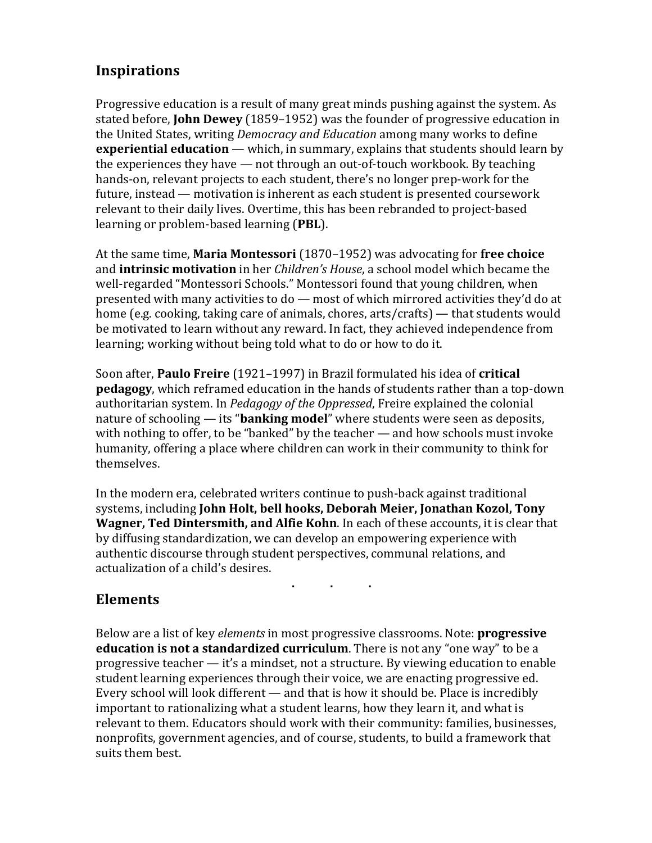## **Inspirations**

Progressive education is a result of many great minds pushing against the system. As stated before, **John Dewey** (1859–1952) was the founder of progressive education in the United States, writing *Democracy and Education* among many works to define **experiential education** — which, in summary, explains that students should learn by the experiences they have  $-$  not through an out-of-touch workbook. By teaching hands-on, relevant projects to each student, there's no longer prep-work for the future, instead — motivation is inherent as each student is presented coursework relevant to their daily lives. Overtime, this has been rebranded to project-based learning or problem-based learning (PBL).

At the same time, **Maria Montessori** (1870–1952) was advocating for **free choice** and **intrinsic motivation** in her *Children's House*, a school model which became the well-regarded "Montessori Schools." Montessori found that young children, when presented with many activities to  $do$  — most of which mirrored activities they'd do at home (e.g. cooking, taking care of animals, chores, arts/crafts) — that students would be motivated to learn without any reward. In fact, they achieved independence from learning; working without being told what to do or how to do it.

Soon after, **Paulo Freire** (1921–1997) in Brazil formulated his idea of **critical pedagogy**, which reframed education in the hands of students rather than a top-down authoritarian system. In *Pedagogy of the Oppressed*, Freire explained the colonial nature of schooling — its "**banking model**" where students were seen as deposits, with nothing to offer, to be "banked" by the teacher  $-$  and how schools must invoke humanity, offering a place where children can work in their community to think for themselves.

In the modern era, celebrated writers continue to push-back against traditional systems, including **John Holt, bell hooks, Deborah Meier, Jonathan Kozol, Tony Wagner, Ted Dintersmith, and Alfie Kohn**. In each of these accounts, it is clear that by diffusing standardization, we can develop an empowering experience with authentic discourse through student perspectives, communal relations, and actualization of a child's desires.

**. . .**

### **Elements**

Below are a list of key *elements* in most progressive classrooms. Note: **progressive education is not a standardized curriculum**. There is not any "one way" to be a progressive teacher  $-$  it's a mindset, not a structure. By viewing education to enable student learning experiences through their voice, we are enacting progressive ed. Every school will look different  $-$  and that is how it should be. Place is incredibly important to rationalizing what a student learns, how they learn it, and what is relevant to them. Educators should work with their community: families, businesses, nonprofits, government agencies, and of course, students, to build a framework that suits them best.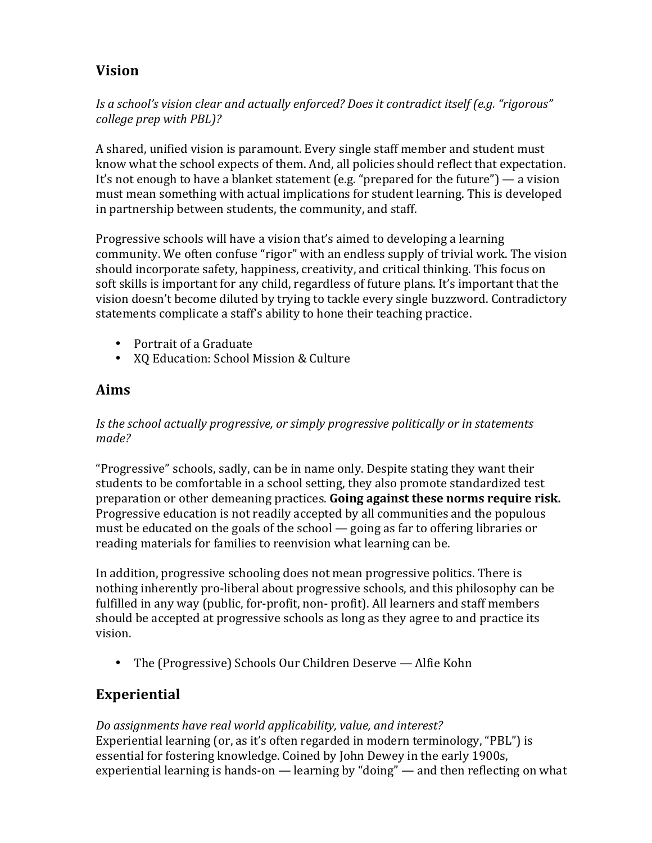# **Vision**

Is a school's vision clear and actually enforced? Does it contradict itself (e.g. "rigorous" *college prep with PBL)?* 

A shared, unified vision is paramount. Every single staff member and student must know what the school expects of them. And, all policies should reflect that expectation. It's not enough to have a blanket statement (e.g. "prepared for the future") — a vision must mean something with actual implications for student learning. This is developed in partnership between students, the community, and staff.

Progressive schools will have a vision that's aimed to developing a learning community. We often confuse "rigor" with an endless supply of trivial work. The vision should incorporate safety, happiness, creativity, and critical thinking. This focus on soft skills is important for any child, regardless of future plans. It's important that the vision doesn't become diluted by trying to tackle every single buzzword. Contradictory statements complicate a staff's ability to hone their teaching practice.

- Portrait of a Graduate
- XQ Education: School Mission & Culture

### **Aims**

Is the school actually progressive, or simply progressive politically or in statements *made?*

"Progressive" schools, sadly, can be in name only. Despite stating they want their students to be comfortable in a school setting, they also promote standardized test preparation or other demeaning practices. **Going against these norms require risk.** Progressive education is not readily accepted by all communities and the populous must be educated on the goals of the school  $-$  going as far to offering libraries or reading materials for families to reenvision what learning can be.

In addition, progressive schooling does not mean progressive politics. There is nothing inherently pro-liberal about progressive schools, and this philosophy can be fulfilled in any way (public, for-profit, non- profit). All learners and staff members should be accepted at progressive schools as long as they agree to and practice its vision.

• The (Progressive) Schools Our Children Deserve — Alfie Kohn

# **Experiential**

Do assignments have real world applicability, value, and interest? Experiential learning (or, as it's often regarded in modern terminology, "PBL") is essential for fostering knowledge. Coined by John Dewey in the early 1900s, experiential learning is hands-on — learning by "doing" — and then reflecting on what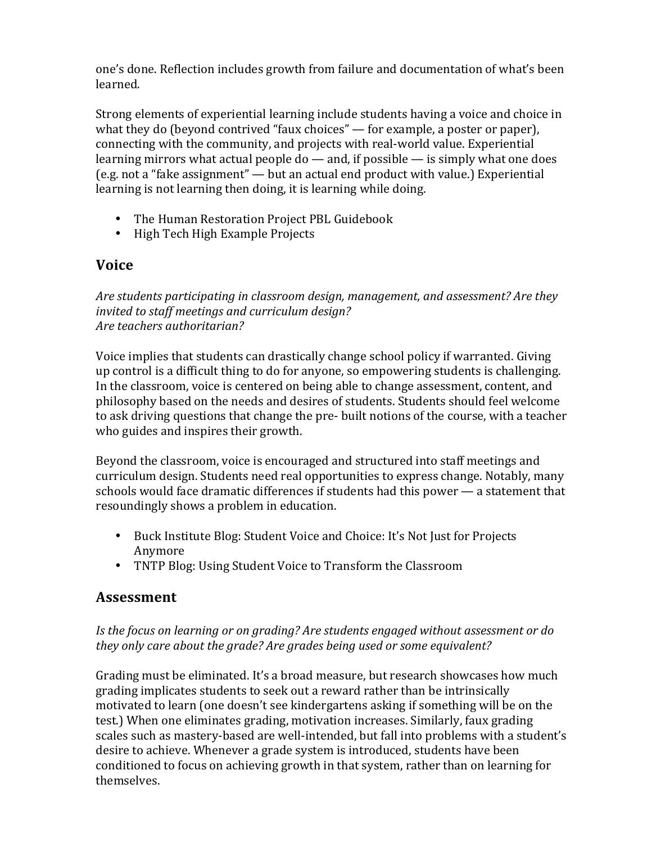one's done. Reflection includes growth from failure and documentation of what's been learned.

Strong elements of experiential learning include students having a voice and choice in what they do (beyond contrived "faux choices"  $-$  for example, a poster or paper), connecting with the community, and projects with real-world value. Experiential learning mirrors what actual people  $do$  — and, if possible — is simply what one does (e.g. not a "fake assignment" — but an actual end product with value.) Experiential learning is not learning then doing, it is learning while doing.

- The Human Restoration Project PBL Guidebook
- High Tech High Example Projects

### **Voice**

Are students participating in classroom design, management, and assessment? Are they invited to staff meetings and curriculum design? *Are teachers authoritarian?*

Voice implies that students can drastically change school policy if warranted. Giving up control is a difficult thing to do for anyone, so empowering students is challenging. In the classroom, voice is centered on being able to change assessment, content, and philosophy based on the needs and desires of students. Students should feel welcome to ask driving questions that change the pre- built notions of the course, with a teacher who guides and inspires their growth.

Beyond the classroom, voice is encouraged and structured into staff meetings and curriculum design. Students need real opportunities to express change. Notably, many schools would face dramatic differences if students had this power  $-$  a statement that resoundingly shows a problem in education.

- Buck Institute Blog: Student Voice and Choice: It's Not Just for Projects Anymore
- TNTP Blog: Using Student Voice to Transform the Classroom

### **Assessment**

Is the focus on learning or on grading? Are students engaged without assessment or do *they* only care about the grade? Are grades being used or some equivalent?

Grading must be eliminated. It's a broad measure, but research showcases how much grading implicates students to seek out a reward rather than be intrinsically motivated to learn (one doesn't see kindergartens asking if something will be on the test.) When one eliminates grading, motivation increases. Similarly, faux grading scales such as mastery-based are well-intended, but fall into problems with a student's desire to achieve. Whenever a grade system is introduced, students have been conditioned to focus on achieving growth in that system, rather than on learning for themselves.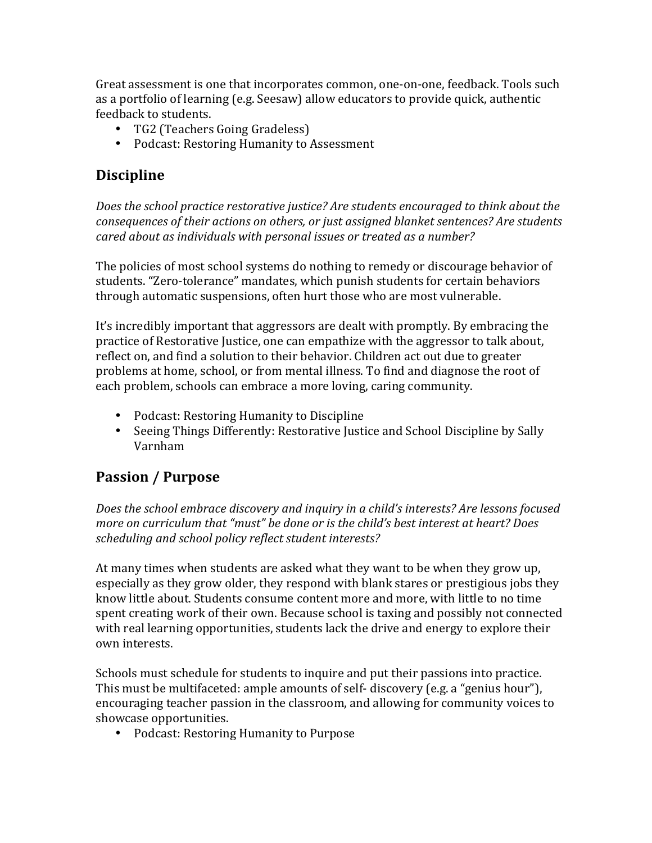Great assessment is one that incorporates common, one-on-one, feedback. Tools such as a portfolio of learning (e.g. Seesaw) allow educators to provide quick, authentic feedback to students.

- TG2 (Teachers Going Gradeless)
- Podcast: Restoring Humanity to Assessment

# **Discipline**

Does the school practice restorative justice? Are students encouraged to think about the *consequences of their actions on others, or just assigned blanket sentences? Are students cared about as individuals with personal issues or treated as a number?* 

The policies of most school systems do nothing to remedy or discourage behavior of students. "Zero-tolerance" mandates, which punish students for certain behaviors through automatic suspensions, often hurt those who are most vulnerable.

It's incredibly important that aggressors are dealt with promptly. By embracing the practice of Restorative Justice, one can empathize with the aggressor to talk about, reflect on, and find a solution to their behavior. Children act out due to greater problems at home, school, or from mental illness. To find and diagnose the root of each problem, schools can embrace a more loving, caring community.

- Podcast: Restoring Humanity to Discipline
- Seeing Things Differently: Restorative Justice and School Discipline by Sally Varnham

# **Passion / Purpose**

Does the school embrace discovery and inquiry in a child's interests? Are lessons focused *more on curriculum that "must" be done or is the child's best interest at heart? Does* scheduling and school policy reflect student interests?

At many times when students are asked what they want to be when they grow up, especially as they grow older, they respond with blank stares or prestigious jobs they know little about. Students consume content more and more, with little to no time spent creating work of their own. Because school is taxing and possibly not connected with real learning opportunities, students lack the drive and energy to explore their own interests.

Schools must schedule for students to inquire and put their passions into practice. This must be multifaceted: ample amounts of self- discovery (e.g. a "genius hour"), encouraging teacher passion in the classroom, and allowing for community voices to showcase opportunities.

• Podcast: Restoring Humanity to Purpose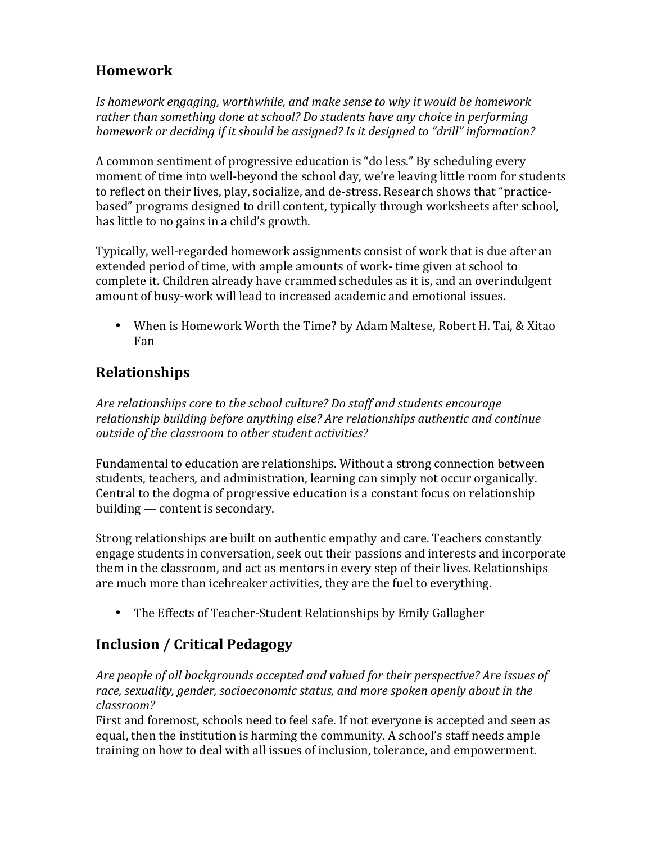## **Homework**

Is homework engaging, worthwhile, and make sense to why it would be homework rather than something done at school? Do students have any choice in performing *homework or deciding if it should be assigned? Is it designed to "drill" information?* 

A common sentiment of progressive education is "do less." By scheduling every moment of time into well-beyond the school day, we're leaving little room for students to reflect on their lives, play, socialize, and de-stress. Research shows that "practicebased" programs designed to drill content, typically through worksheets after school, has little to no gains in a child's growth.

Typically, well-regarded homework assignments consist of work that is due after an extended period of time, with ample amounts of work- time given at school to complete it. Children already have crammed schedules as it is, and an overindulgent amount of busy-work will lead to increased academic and emotional issues.

• When is Homework Worth the Time? by Adam Maltese, Robert H. Tai, & Xitao Fan

# **Relationships**

Are relationships core to the school culture? Do staff and students encourage relationship building before anything else? Are relationships authentic and continue *outside of the classroom to other student activities?*

Fundamental to education are relationships. Without a strong connection between students, teachers, and administration, learning can simply not occur organically. Central to the dogma of progressive education is a constant focus on relationship building  $-$  content is secondary.

Strong relationships are built on authentic empathy and care. Teachers constantly engage students in conversation, seek out their passions and interests and incorporate them in the classroom, and act as mentors in every step of their lives. Relationships are much more than icebreaker activities, they are the fuel to everything.

• The Effects of Teacher-Student Relationships by Emily Gallagher

# **Inclusion / Critical Pedagogy**

Are people of all backgrounds accepted and valued for their perspective? Are issues of race, sexuality, gender, socioeconomic status, and more spoken openly about in the *classroom?*

First and foremost, schools need to feel safe. If not everyone is accepted and seen as equal, then the institution is harming the community. A school's staff needs ample training on how to deal with all issues of inclusion, tolerance, and empowerment.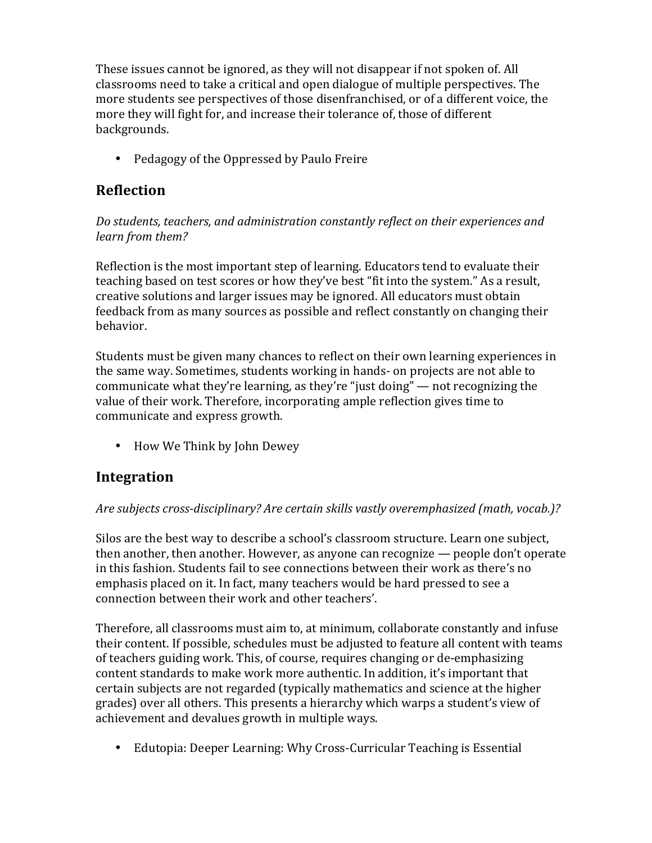These issues cannot be ignored, as they will not disappear if not spoken of. All classrooms need to take a critical and open dialogue of multiple perspectives. The more students see perspectives of those disenfranchised, or of a different voice, the more they will fight for, and increase their tolerance of, those of different backgrounds.

• Pedagogy of the Oppressed by Paulo Freire

## **Reflection**

### Do students, teachers, and administration constantly reflect on their experiences and *learn from them?*

Reflection is the most important step of learning. Educators tend to evaluate their teaching based on test scores or how they've best "fit into the system." As a result, creative solutions and larger issues may be ignored. All educators must obtain feedback from as many sources as possible and reflect constantly on changing their behavior.

Students must be given many chances to reflect on their own learning experiences in the same way. Sometimes, students working in hands- on projects are not able to communicate what they're learning, as they're "just doing"  $-$  not recognizing the value of their work. Therefore, incorporating ample reflection gives time to communicate and express growth.

• How We Think by John Dewey

### **Integration**

### Are subjects cross-disciplinary? Are certain skills vastly overemphasized (math, vocab.)?

Silos are the best way to describe a school's classroom structure. Learn one subject, then another, then another. However, as anyone can recognize  $-$  people don't operate in this fashion. Students fail to see connections between their work as there's no emphasis placed on it. In fact, many teachers would be hard pressed to see a connection between their work and other teachers'.

Therefore, all classrooms must aim to, at minimum, collaborate constantly and infuse their content. If possible, schedules must be adjusted to feature all content with teams of teachers guiding work. This, of course, requires changing or de-emphasizing content standards to make work more authentic. In addition, it's important that certain subjects are not regarded (typically mathematics and science at the higher grades) over all others. This presents a hierarchy which warps a student's view of achievement and devalues growth in multiple ways.

• Edutopia: Deeper Learning: Why Cross-Curricular Teaching is Essential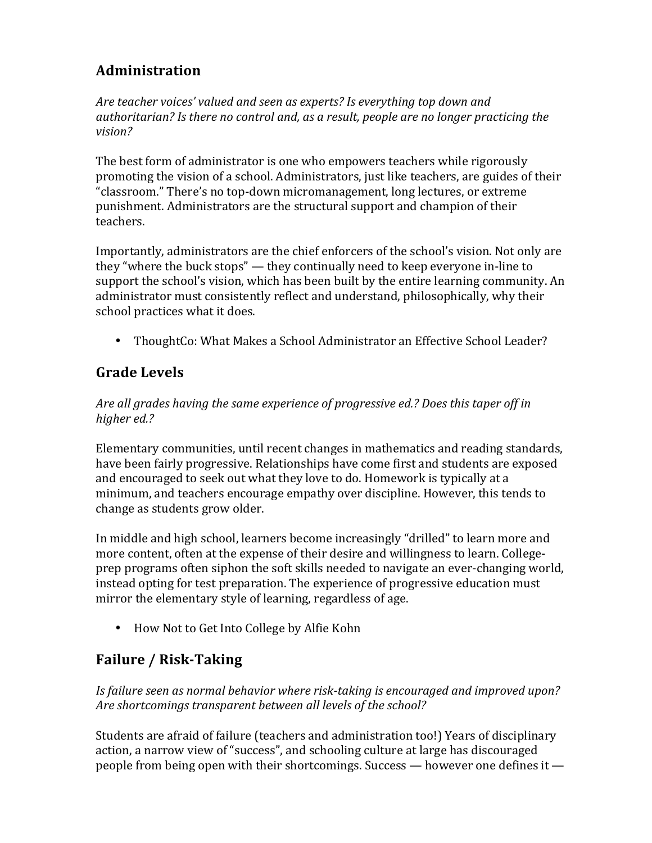# **Administration**

Are teacher voices' valued and seen as experts? Is everything top down and authoritarian? Is there no control and, as a result, people are no longer practicing the *vision?*

The best form of administrator is one who empowers teachers while rigorously promoting the vision of a school. Administrators, just like teachers, are guides of their "classroom." There's no top-down micromanagement, long lectures, or extreme punishment. Administrators are the structural support and champion of their teachers.

Importantly, administrators are the chief enforcers of the school's vision. Not only are they "where the buck stops"  $-$  they continually need to keep everyone in-line to support the school's vision, which has been built by the entire learning community. An administrator must consistently reflect and understand, philosophically, why their school practices what it does.

• ThoughtCo: What Makes a School Administrator an Effective School Leader?

# **Grade Levels**

### Are all grades having the same experience of progressive ed.? Does this taper off in *higher ed.?*

Elementary communities, until recent changes in mathematics and reading standards, have been fairly progressive. Relationships have come first and students are exposed and encouraged to seek out what they love to do. Homework is typically at a minimum, and teachers encourage empathy over discipline. However, this tends to change as students grow older.

In middle and high school, learners become increasingly "drilled" to learn more and more content, often at the expense of their desire and willingness to learn. Collegeprep programs often siphon the soft skills needed to navigate an ever-changing world, instead opting for test preparation. The experience of progressive education must mirror the elementary style of learning, regardless of age.

• How Not to Get Into College by Alfie Kohn

# **Failure / Risk-Taking**

Is failure seen as normal behavior where risk-taking is encouraged and improved upon? Are shortcomings transparent between all levels of the school?

Students are afraid of failure (teachers and administration too!) Years of disciplinary action, a narrow view of "success", and schooling culture at large has discouraged people from being open with their shortcomings. Success — however one defines it —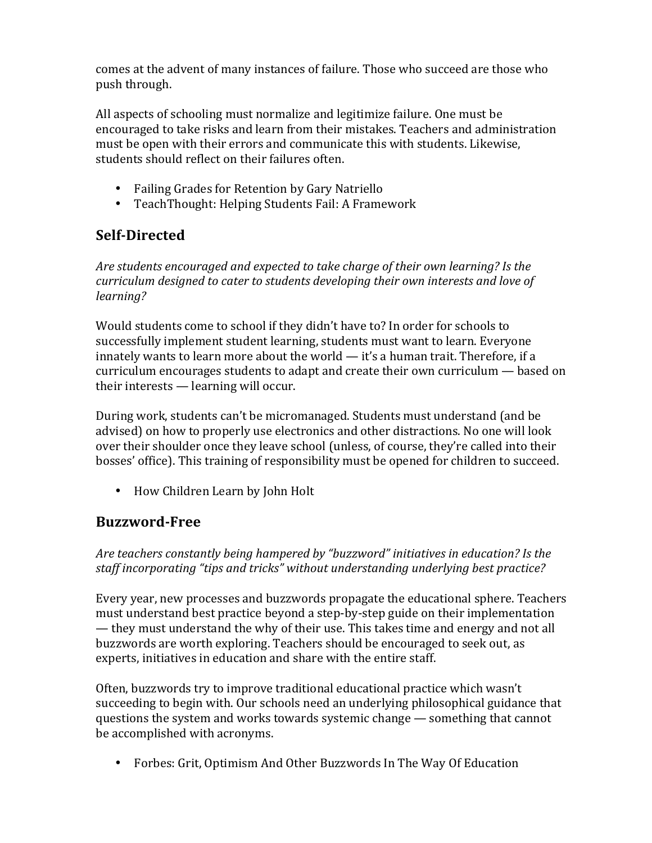comes at the advent of many instances of failure. Those who succeed are those who push through.

All aspects of schooling must normalize and legitimize failure. One must be encouraged to take risks and learn from their mistakes. Teachers and administration must be open with their errors and communicate this with students. Likewise, students should reflect on their failures often.

- Failing Grades for Retention by Gary Natriello
- TeachThought: Helping Students Fail: A Framework

# **Self-Directed**

Are students encouraged and expected to take charge of their own learning? Is the *curriculum designed to cater to students developing their own interests and love of learning?*

Would students come to school if they didn't have to? In order for schools to successfully implement student learning, students must want to learn. Everyone innately wants to learn more about the world  $-$  it's a human trait. Therefore, if a  $curriculum$  encourages students to adapt and create their own curriculum  $-$  based on their interests  $-$  learning will occur.

During work, students can't be micromanaged. Students must understand (and be advised) on how to properly use electronics and other distractions. No one will look over their shoulder once they leave school (unless, of course, they're called into their bosses' office). This training of responsibility must be opened for children to succeed.

• How Children Learn by John Holt

# **Buzzword-Free**

Are teachers constantly being hampered by "buzzword" initiatives in education? Is the staff incorporating "tips and tricks" without understanding underlying best practice?

Every year, new processes and buzzwords propagate the educational sphere. Teachers must understand best practice beyond a step-by-step guide on their implementation — they must understand the why of their use. This takes time and energy and not all buzzwords are worth exploring. Teachers should be encouraged to seek out, as experts, initiatives in education and share with the entire staff.

Often, buzzwords try to improve traditional educational practice which wasn't succeeding to begin with. Our schools need an underlying philosophical guidance that questions the system and works towards systemic change  $-$  something that cannot be accomplished with acronyms.

• Forbes: Grit, Optimism And Other Buzzwords In The Way Of Education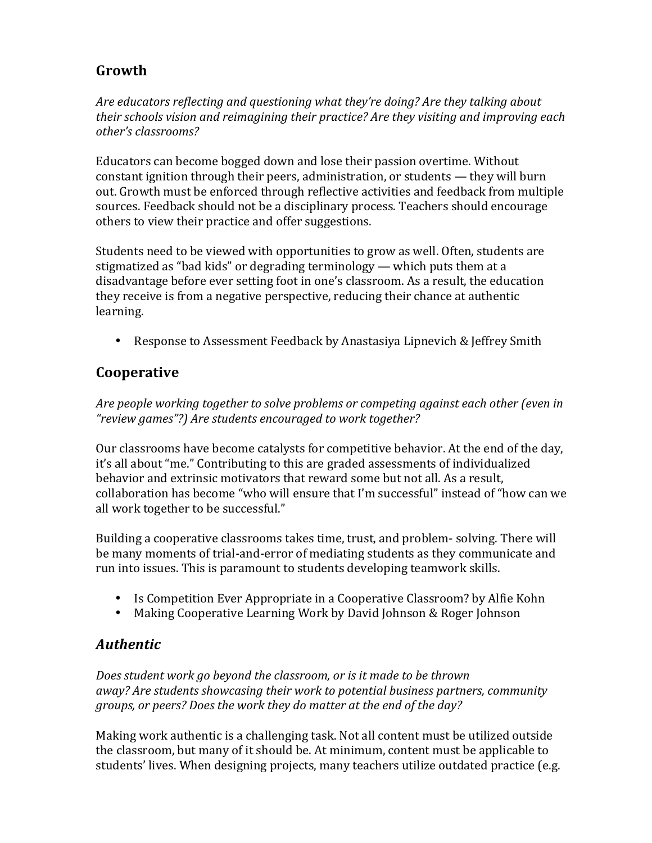# **Growth**

Are educators reflecting and questioning what they're doing? Are they talking about *their schools vision and reimagining their practice? Are they visiting and improving each other's classrooms?*

Educators can become bogged down and lose their passion overtime. Without constant ignition through their peers, administration, or students  $-$  they will burn out. Growth must be enforced through reflective activities and feedback from multiple sources. Feedback should not be a disciplinary process. Teachers should encourage others to view their practice and offer suggestions.

Students need to be viewed with opportunities to grow as well. Often, students are stigmatized as "bad kids" or degrading terminology — which puts them at a disadvantage before ever setting foot in one's classroom. As a result, the education they receive is from a negative perspective, reducing their chance at authentic learning.

• Response to Assessment Feedback by Anastasiya Lipnevich & Jeffrey Smith

## **Cooperative**

Are people working together to solve problems or competing against each other (even in *"review games"?) Are students encouraged to work together?*

Our classrooms have become catalysts for competitive behavior. At the end of the day, it's all about "me." Contributing to this are graded assessments of individualized behavior and extrinsic motivators that reward some but not all. As a result, collaboration has become "who will ensure that I'm successful" instead of "how can we all work together to be successful."

Building a cooperative classrooms takes time, trust, and problem- solving. There will be many moments of trial-and-error of mediating students as they communicate and run into issues. This is paramount to students developing teamwork skills.

- Is Competition Ever Appropriate in a Cooperative Classroom? by Alfie Kohn
- Making Cooperative Learning Work by David Johnson & Roger Johnson

# *Authentic*

Does student work go beyond the classroom, or is it made to be thrown *away?* Are students showcasing their work to potential business partners, community groups, or peers? Does the work they do matter at the end of the day?

Making work authentic is a challenging task. Not all content must be utilized outside the classroom, but many of it should be. At minimum, content must be applicable to students' lives. When designing projects, many teachers utilize outdated practice (e.g.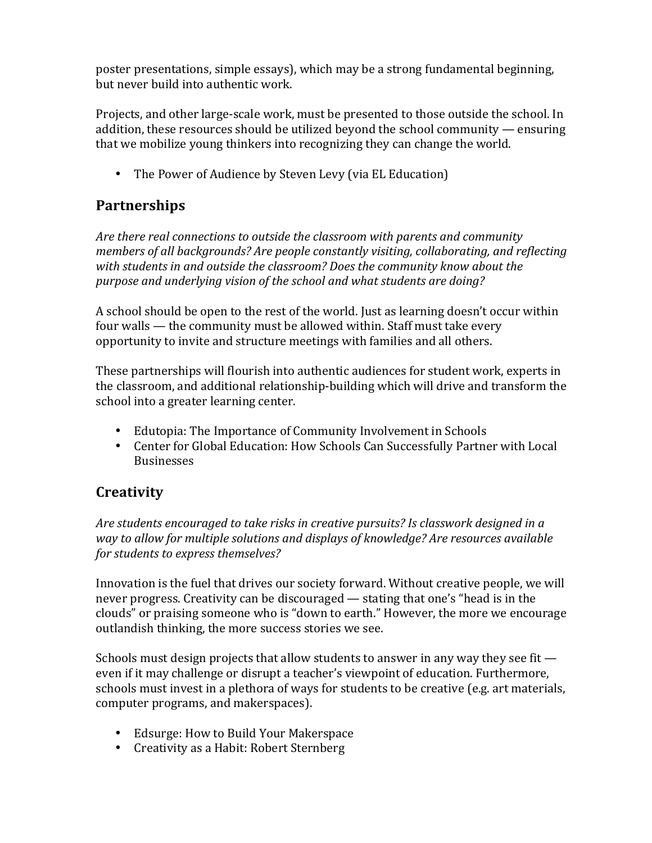poster presentations, simple essays), which may be a strong fundamental beginning, but never build into authentic work.

Projects, and other large-scale work, must be presented to those outside the school. In addition, these resources should be utilized beyond the school community  $-$  ensuring that we mobilize young thinkers into recognizing they can change the world.

• The Power of Audience by Steven Levy (via EL Education)

## **Partnerships**

Are there real connections to outside the classroom with parents and community *members of all backgrounds? Are people constantly visiting, collaborating, and reflecting* with students in and outside the classroom? Does the community know about the purpose and underlying vision of the school and what students are doing?

A school should be open to the rest of the world. Just as learning doesn't occur within four walls  $-$  the community must be allowed within. Staff must take every opportunity to invite and structure meetings with families and all others.

These partnerships will flourish into authentic audiences for student work, experts in the classroom, and additional relationship-building which will drive and transform the school into a greater learning center.

- Edutopia: The Importance of Community Involvement in Schools
- Center for Global Education: How Schools Can Successfully Partner with Local **Businesses**

# **Creativity**

Are students encouraged to take risks in creative pursuits? Is classwork designed in a *way* to allow for multiple solutions and displays of knowledge? Are resources available *for students to express themselves?* 

Innovation is the fuel that drives our society forward. Without creative people, we will never progress. Creativity can be discouraged — stating that one's "head is in the clouds" or praising someone who is "down to earth." However, the more we encourage outlandish thinking, the more success stories we see.

Schools must design projects that allow students to answer in any way they see fit  $$ even if it may challenge or disrupt a teacher's viewpoint of education. Furthermore, schools must invest in a plethora of ways for students to be creative (e.g. art materials, computer programs, and makerspaces).

- Edsurge: How to Build Your Makerspace
- Creativity as a Habit: Robert Sternberg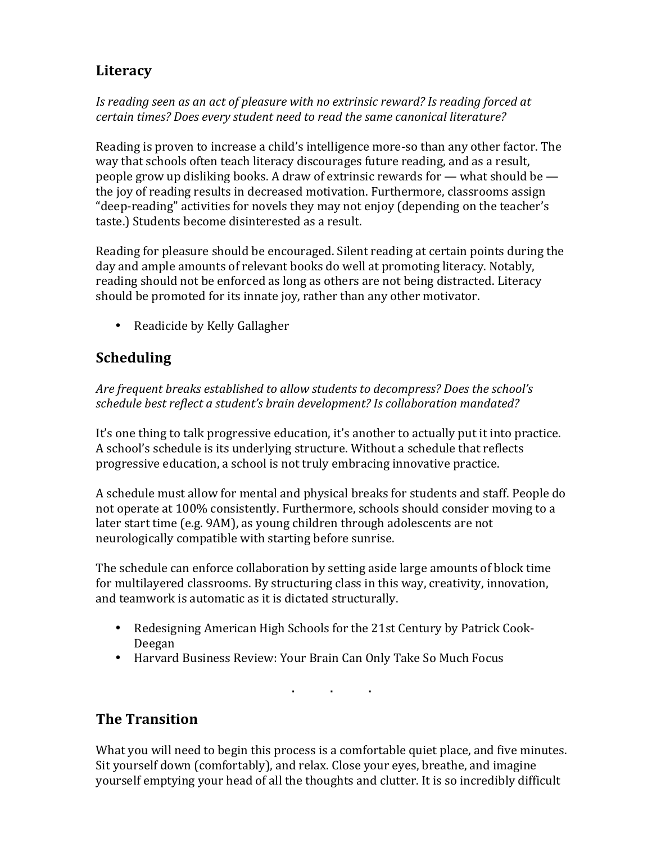# **Literacy**

#### Is reading seen as an act of pleasure with no extrinsic reward? Is reading forced at certain times? Does every student need to read the same canonical literature?

Reading is proven to increase a child's intelligence more-so than any other factor. The way that schools often teach literacy discourages future reading, and as a result, people grow up disliking books. A draw of extrinsic rewards for  $-$  what should be  $$ the joy of reading results in decreased motivation. Furthermore, classrooms assign "deep-reading" activities for novels they may not enjoy (depending on the teacher's taste.) Students become disinterested as a result.

Reading for pleasure should be encouraged. Silent reading at certain points during the day and ample amounts of relevant books do well at promoting literacy. Notably, reading should not be enforced as long as others are not being distracted. Literacy should be promoted for its innate joy, rather than any other motivator.

• Readicide by Kelly Gallagher

## **Scheduling**

Are frequent breaks established to allow students to decompress? Does the school's schedule best reflect a student's brain development? Is collaboration mandated?

It's one thing to talk progressive education, it's another to actually put it into practice. A school's schedule is its underlying structure. Without a schedule that reflects progressive education, a school is not truly embracing innovative practice.

A schedule must allow for mental and physical breaks for students and staff. People do not operate at 100% consistently. Furthermore, schools should consider moving to a later start time (e.g. 9AM), as young children through adolescents are not neurologically compatible with starting before sunrise.

The schedule can enforce collaboration by setting aside large amounts of block time for multilayered classrooms. By structuring class in this way, creativity, innovation, and teamwork is automatic as it is dictated structurally.

- Redesigning American High Schools for the 21st Century by Patrick Cook-Deegan
- Harvard Business Review: Your Brain Can Only Take So Much Focus

**. . .**

# **The Transition**

What you will need to begin this process is a comfortable quiet place, and five minutes. Sit yourself down (comfortably), and relax. Close your eyes, breathe, and imagine yourself emptying your head of all the thoughts and clutter. It is so incredibly difficult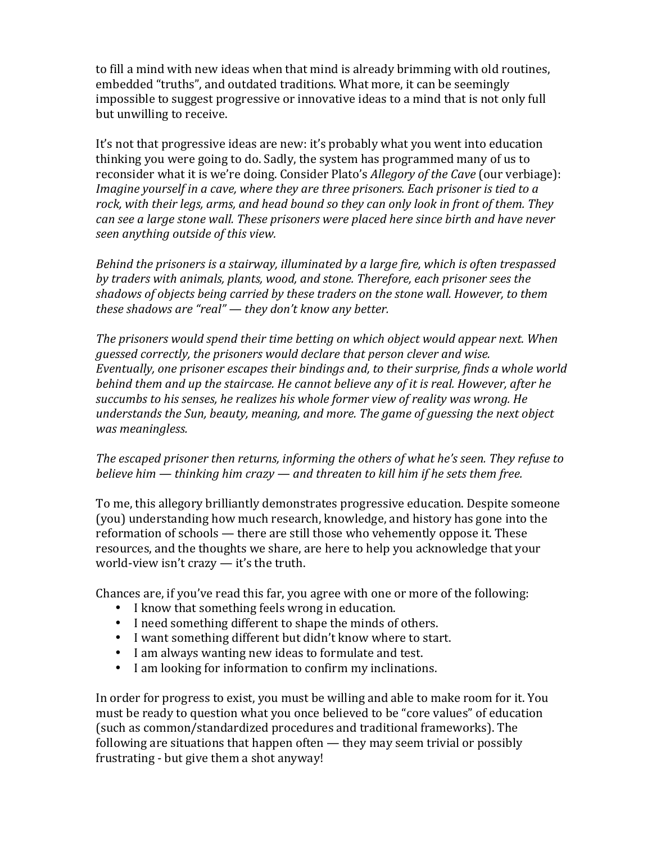to fill a mind with new ideas when that mind is already brimming with old routines, embedded "truths", and outdated traditions. What more, it can be seemingly impossible to suggest progressive or innovative ideas to a mind that is not only full but unwilling to receive.

It's not that progressive ideas are new: it's probably what you went into education thinking you were going to do. Sadly, the system has programmed many of us to reconsider what it is we're doing. Consider Plato's *Allegory of the Cave* (our verbiage): *Imagine yourself in a cave, where they are three prisoners. Each prisoner is tied to a* rock, with their legs, arms, and head bound so they can only look in front of them. They *can see a large stone wall. These prisoners were placed here since birth and have never seen anything outside of this view.*

*Behind the prisoners is a stairway, illuminated by a large fire, which is often trespassed* by traders with animals, plants, wood, and stone. Therefore, each prisoner sees the shadows of objects being carried by these traders on the stone wall. However, to them *these shadows are "real"* — *they don't know any better.* 

The prisoners would spend their time betting on which object would appear next. When *guessed correctly, the prisoners would declare that person clever and wise. Eventually, one prisoner escapes their bindings and, to their surprise, finds a whole world* behind them and up the staircase. He cannot believe any of it is real. However, after he succumbs to his senses, he realizes his whole former view of reality was wrong. He *understands the Sun, beauty, meaning, and more. The game of guessing the next object was meaningless.*

#### The escaped prisoner then returns, informing the others of what he's seen. They refuse to *believe him* — *thinking him crazy* — and threaten to kill him if he sets them free.

To me, this allegory brilliantly demonstrates progressive education. Despite someone (you) understanding how much research, knowledge, and history has gone into the reformation of schools — there are still those who vehemently oppose it. These resources, and the thoughts we share, are here to help you acknowledge that your world-view isn't crazy  $-$  it's the truth.

Chances are, if you've read this far, you agree with one or more of the following:

- I know that something feels wrong in education.
- I need something different to shape the minds of others.
- I want something different but didn't know where to start.
- I am always wanting new ideas to formulate and test.
- I am looking for information to confirm my inclinations.

In order for progress to exist, you must be willing and able to make room for it. You must be ready to question what you once believed to be "core values" of education (such as common/standardized procedures and traditional frameworks). The following are situations that happen often  $-$  they may seem trivial or possibly frustrating - but give them a shot anyway!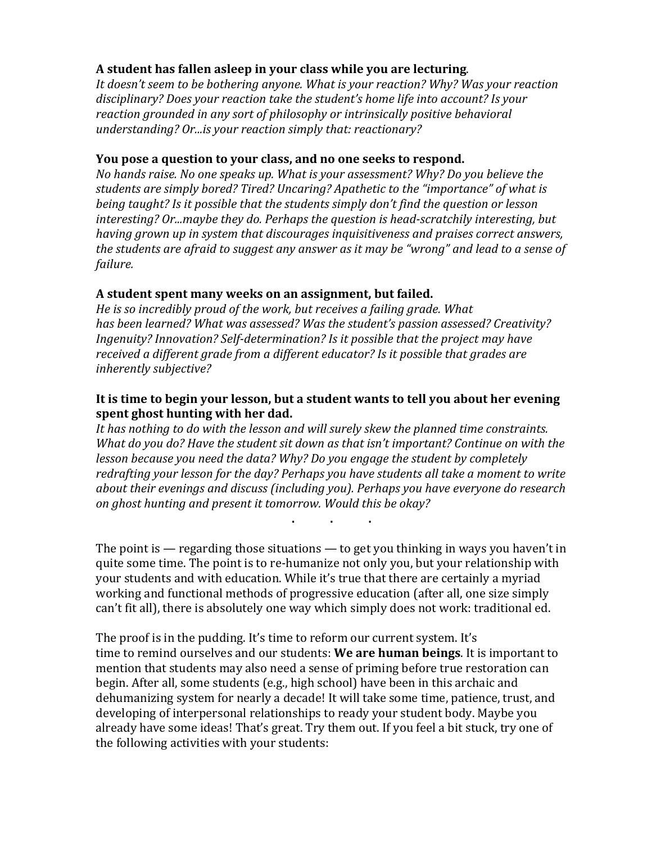### A student has fallen asleep in your class while you are lecturing.

It doesn't seem to be bothering anyone. What is your reaction? Why? Was your reaction disciplinary? Does your reaction take the student's home life into account? Is your reaction grounded in any sort of philosophy or intrinsically positive behavioral *understanding? Or...is your reaction simply that: reactionary?* 

#### **You pose a question to your class, and no one seeks to respond.**

*No hands raise. No one speaks up. What is your assessment? Why? Do you believe the* students are simply bored? Tired? Uncaring? Apathetic to the "importance" of what is *being taught?* Is it possible that the students simply don't find the question or lesson *interesting?* Or...maybe they do. Perhaps the question is head-scratchily interesting, but *having grown up in system that discourages inquisitiveness and praises correct answers, the students are afraid to suggest any answer as it may be "wrong" and lead to a sense of failure.*

### A student spent many weeks on an assignment, but failed.

*He is so incredibly proud of the work, but receives a failing grade. What* has been learned? What was assessed? Was the student's passion assessed? Creativity? *Ingenuity?* Innovation? Self-determination? Is it possible that the project may have received a different grade from a different educator? Is it possible that grades are *inherently subjective?*

#### It is time to begin your lesson, but a student wants to tell you about her evening **spent ghost hunting with her dad.**

It has nothing to do with the lesson and will surely skew the planned time constraints. *What do you do?* Have the student sit down as that isn't important? Continue on with the *lesson because you need the data?* Why? Do you engage the student by completely redrafting your lesson for the day? Perhaps you have students all take a moment to write about their evenings and discuss (including you). Perhaps you have everyone do research on ghost hunting and present it tomorrow. Would this be okay?

**. . .**

The point is  $-$  regarding those situations  $-$  to get you thinking in ways you haven't in quite some time. The point is to re-humanize not only you, but your relationship with your students and with education. While it's true that there are certainly a myriad working and functional methods of progressive education (after all, one size simply can't fit all), there is absolutely one way which simply does not work: traditional ed.

The proof is in the pudding. It's time to reform our current system. It's time to remind ourselves and our students: We are human beings. It is important to mention that students may also need a sense of priming before true restoration can begin. After all, some students (e.g., high school) have been in this archaic and dehumanizing system for nearly a decade! It will take some time, patience, trust, and developing of interpersonal relationships to ready your student body. Maybe you already have some ideas! That's great. Try them out. If you feel a bit stuck, try one of the following activities with your students: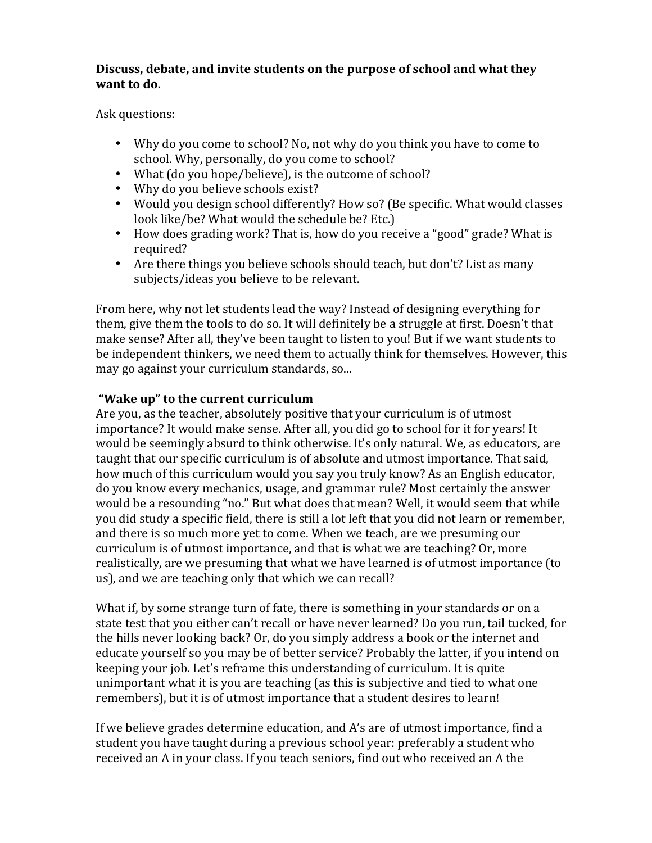### Discuss, debate, and invite students on the purpose of school and what they **want** to do.

Ask questions:

- Why do you come to school? No, not why do you think you have to come to school. Why, personally, do you come to school?
- What (do you hope/believe), is the outcome of school?
- Why do you believe schools exist?
- Would you design school differently? How so? (Be specific. What would classes look like/be? What would the schedule be? Etc.)
- How does grading work? That is, how do you receive a "good" grade? What is required?
- Are there things you believe schools should teach, but don't? List as many subjects/ideas you believe to be relevant.

From here, why not let students lead the way? Instead of designing everything for them, give them the tools to do so. It will definitely be a struggle at first. Doesn't that make sense? After all, they've been taught to listen to you! But if we want students to be independent thinkers, we need them to actually think for themselves. However, this may go against your curriculum standards, so...

### **"Wake up" to the current curriculum**

Are you, as the teacher, absolutely positive that your curriculum is of utmost importance? It would make sense. After all, you did go to school for it for years! It would be seemingly absurd to think otherwise. It's only natural. We, as educators, are taught that our specific curriculum is of absolute and utmost importance. That said, how much of this curriculum would you say you truly know? As an English educator, do you know every mechanics, usage, and grammar rule? Most certainly the answer would be a resounding "no." But what does that mean? Well, it would seem that while you did study a specific field, there is still a lot left that you did not learn or remember, and there is so much more yet to come. When we teach, are we presuming our curriculum is of utmost importance, and that is what we are teaching? Or, more realistically, are we presuming that what we have learned is of utmost importance (to us), and we are teaching only that which we can recall?

What if, by some strange turn of fate, there is something in your standards or on a state test that you either can't recall or have never learned? Do you run, tail tucked, for the hills never looking back? Or, do you simply address a book or the internet and educate yourself so you may be of better service? Probably the latter, if you intend on keeping your job. Let's reframe this understanding of curriculum. It is quite unimportant what it is you are teaching (as this is subjective and tied to what one remembers), but it is of utmost importance that a student desires to learn!

If we believe grades determine education, and A's are of utmost importance, find a student you have taught during a previous school year: preferably a student who received an A in your class. If you teach seniors, find out who received an A the